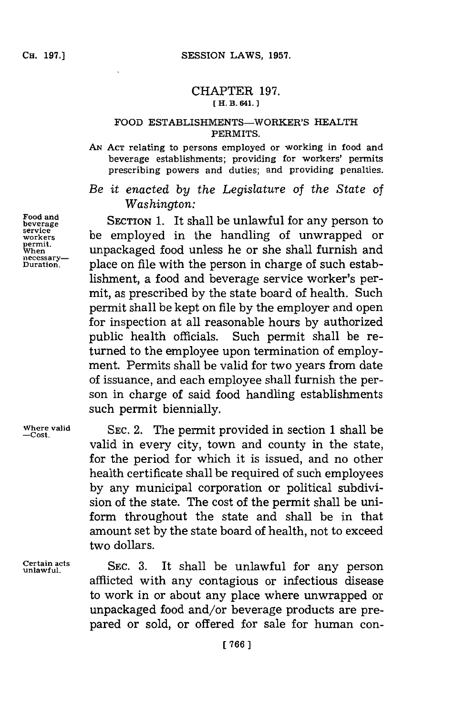## CHAPTER **197. [ H. B. 641.**

## FOOD ESTABLISHMENTS-WORKER'S HEALTH **PERMITS.**

**AN ACT relating** to persons employed or working in food and **beverage** establishments; providing for workers' permits prescribing powers and duties; and providing penalties.

*Be it enacted by the Legislature of the State of Washington:*

Food and<br>beverage SECTION 1. It shall be unlawful for any person to<br>service **be** approximately the bandling of unumerated an **pervice** be employed in the handling of unwrapped or permit. **unpackaged food unless he or she shall furnish and** necessarypercessary—<br><u>Duration</u>. place on file with the person in charge of such establishment, a food and beverage service worker's permit, as prescribed **by** the state board of health. Such permit shall be kept on file **by** the employer and open for inspection at all reasonable hours **by** authorized public health officials. Such permit shall be returned to the employee upon termination of employment. Permits shall be valid for two years from date of issuance, and each employee shall furnish the person in charge of said food handling establishments such permit biennially.

**Where valid SEC.** 2. The permit provided in section **1** shall be **-Cost.** valid in every city, town and county in the state, for the period for which it is issued, and no other health certificate shall be required of such employees **by** any municipal corporation or political subdivision of the state. The cost of the permit shall be uniform throughout the state and shall be in that amount set **by** the state board of health, not to exceed two dollars.

Certain acts **SEC.** 3. It shall be unlawful for any person afflicted with any contagious or infectious disease to work in or about any place where unwrapped or unpackaged food and/or beverage products are prepared or sold, or offered for sale for human con-

**Food and**